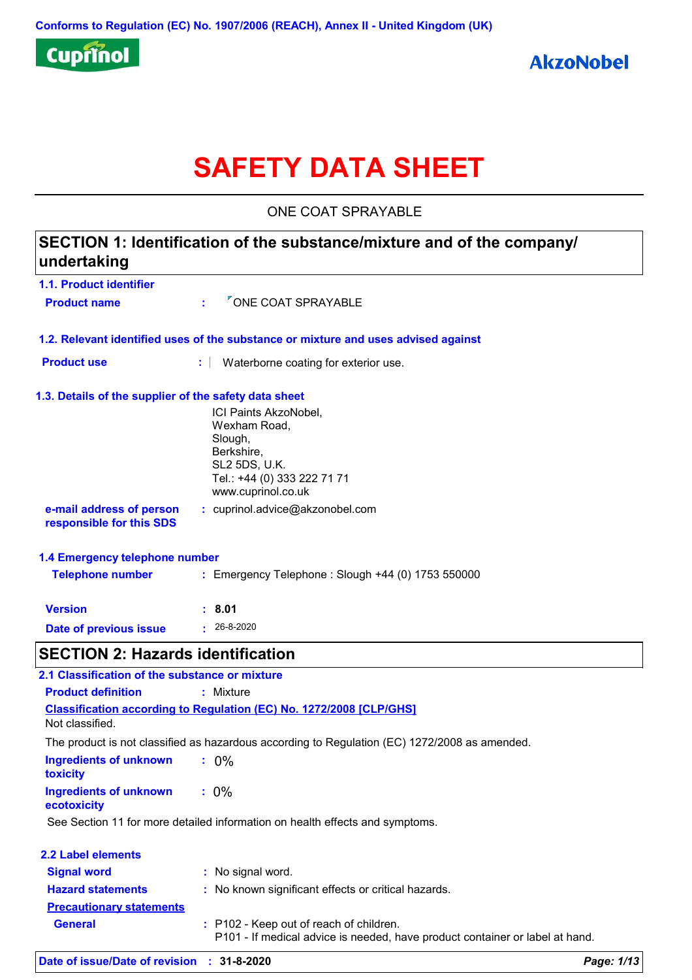

# **SAFETY DATA SHEET**

ONE COAT SPRAYABLE

# **1.1. Product identifier 1.3. Details of the supplier of the safety data sheet 1.2. Relevant identified uses of the substance or mixture and uses advised against SECTION 1: Identification of the substance/mixture and of the company/ undertaking Date of previous issue :** 26-8-2020 ICI Paints AkzoNobel, Wexham Road, Slough, Berkshire, SL2 5DS, U.K. Tel.: +44 (0) 333 222 71 71 www.cuprinol.co.uk **e-mail address of person responsible for this SDS :** cuprinol.advice@akzonobel.com **1.4 Emergency telephone number Version : 8.01 Product name :** <sup>*V*</sup> ONE COAT SPRAYABLE **Product use <b>:** Waterborne coating for exterior use. **Telephone number :** Emergency Telephone : Slough +44 (0) 1753 550000 **SECTION 2: Hazards identification Ingredients of unknown toxicity :** 0% **Ingredients of unknown ecotoxicity :** 0% **Classification according to Regulation (EC) No. 1272/2008 [CLP/GHS] 2.1 Classification of the substance or mixture Product definition :** Mixture Not classified. The product is not classified as hazardous according to Regulation (EC) 1272/2008 as amended. See Section 11 for more detailed information on health effects and symptoms.

| <b>2.2 Label elements</b>       |                                                                                                                         |
|---------------------------------|-------------------------------------------------------------------------------------------------------------------------|
| <b>Signal word</b>              | : No signal word.                                                                                                       |
| <b>Hazard statements</b>        | : No known significant effects or critical hazards.                                                                     |
| <b>Precautionary statements</b> |                                                                                                                         |
| <b>General</b>                  | : P102 - Keep out of reach of children.<br>P101 - If medical advice is needed, have product container or label at hand. |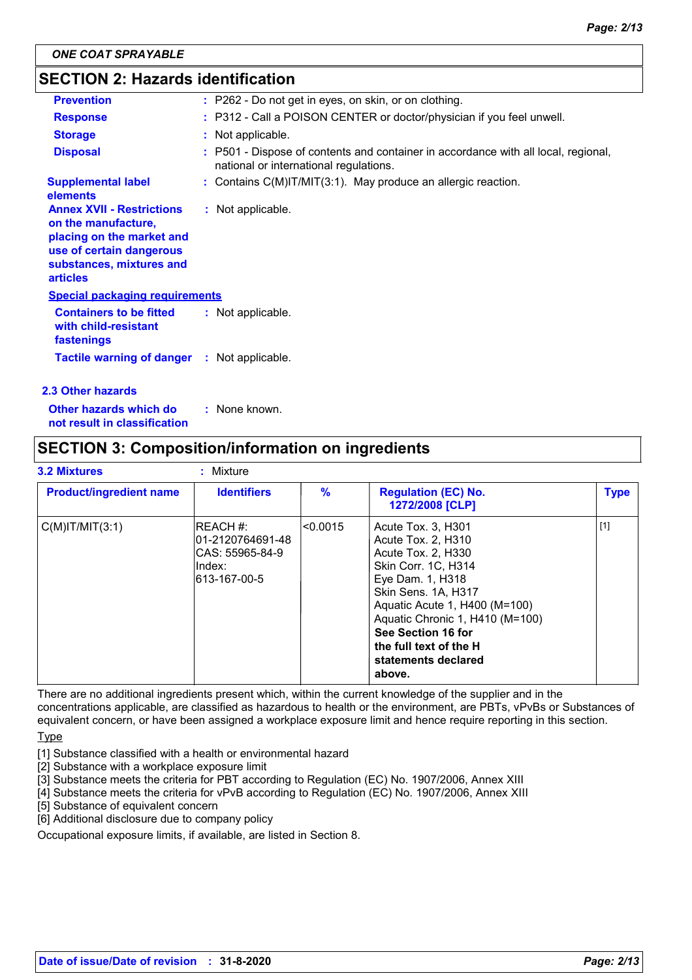### **SECTION 2: Hazards identification**

| <b>Prevention</b>                                                                                                                                               | : P262 - Do not get in eyes, on skin, or on clothing.                                                                        |
|-----------------------------------------------------------------------------------------------------------------------------------------------------------------|------------------------------------------------------------------------------------------------------------------------------|
| <b>Response</b>                                                                                                                                                 | : P312 - Call a POISON CENTER or doctor/physician if you feel unwell.                                                        |
| <b>Storage</b>                                                                                                                                                  | : Not applicable.                                                                                                            |
| <b>Disposal</b>                                                                                                                                                 | : P501 - Dispose of contents and container in accordance with all local, regional,<br>national or international regulations. |
| <b>Supplemental label</b><br>elements                                                                                                                           | : Contains C(M)IT/MIT(3:1). May produce an allergic reaction.                                                                |
| <b>Annex XVII - Restrictions</b><br>on the manufacture,<br>placing on the market and<br>use of certain dangerous<br>substances, mixtures and<br><b>articles</b> | : Not applicable.                                                                                                            |
| <b>Special packaging requirements</b>                                                                                                                           |                                                                                                                              |
| <b>Containers to be fitted</b><br>with child-resistant<br>fastenings                                                                                            | : Not applicable.                                                                                                            |
| <b>Tactile warning of danger : Not applicable.</b>                                                                                                              |                                                                                                                              |
| 2.3 Other hazards                                                                                                                                               |                                                                                                                              |

**Other hazards which do : not result in classification** : None known.

# **SECTION 3: Composition/information on ingredients**

| <b>3.2 Mixtures</b>            | Mixture                                                                             |         |                                                                                                                                                                                                                                                                                       |             |
|--------------------------------|-------------------------------------------------------------------------------------|---------|---------------------------------------------------------------------------------------------------------------------------------------------------------------------------------------------------------------------------------------------------------------------------------------|-------------|
| <b>Product/ingredient name</b> | <b>Identifiers</b>                                                                  | %       | <b>Regulation (EC) No.</b><br>1272/2008 [CLP]                                                                                                                                                                                                                                         | <b>Type</b> |
| $C(M)$ IT/MIT $(3:1)$          | <b>IREACH #:</b><br>101-2120764691-48<br>ICAS: 55965-84-9<br>Index:<br>613-167-00-5 | <0.0015 | Acute Tox. 3, H301<br>Acute Tox. 2, H310<br>Acute Tox. 2. H330<br>Skin Corr. 1C, H314<br>Eye Dam. 1, H318<br>Skin Sens. 1A, H317<br>Aquatic Acute 1, H400 (M=100)<br>Aquatic Chronic 1, H410 (M=100)<br>See Section 16 for<br>the full text of the H<br>statements declared<br>above. | $[1]$       |

There are no additional ingredients present which, within the current knowledge of the supplier and in the concentrations applicable, are classified as hazardous to health or the environment, are PBTs, vPvBs or Substances of equivalent concern, or have been assigned a workplace exposure limit and hence require reporting in this section.

**Type** 

- [1] Substance classified with a health or environmental hazard
- [2] Substance with a workplace exposure limit
- [3] Substance meets the criteria for PBT according to Regulation (EC) No. 1907/2006, Annex XIII
- [4] Substance meets the criteria for vPvB according to Regulation (EC) No. 1907/2006, Annex XIII
- [5] Substance of equivalent concern
- [6] Additional disclosure due to company policy

Occupational exposure limits, if available, are listed in Section 8.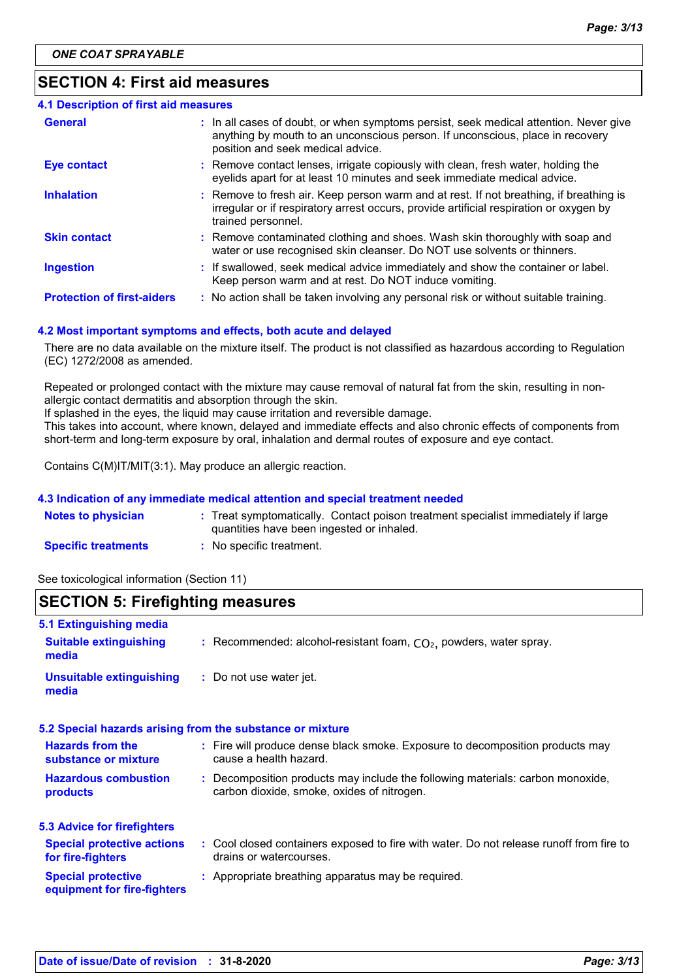### **SECTION 4: First aid measures**

| <b>4.1 Description of first aid measures</b> |                                                                                                                                                                                                             |
|----------------------------------------------|-------------------------------------------------------------------------------------------------------------------------------------------------------------------------------------------------------------|
| <b>General</b>                               | : In all cases of doubt, or when symptoms persist, seek medical attention. Never give<br>anything by mouth to an unconscious person. If unconscious, place in recovery<br>position and seek medical advice. |
| <b>Eye contact</b>                           | : Remove contact lenses, irrigate copiously with clean, fresh water, holding the<br>eyelids apart for at least 10 minutes and seek immediate medical advice.                                                |
| <b>Inhalation</b>                            | : Remove to fresh air. Keep person warm and at rest. If not breathing, if breathing is<br>irregular or if respiratory arrest occurs, provide artificial respiration or oxygen by<br>trained personnel.      |
| <b>Skin contact</b>                          | : Remove contaminated clothing and shoes. Wash skin thoroughly with soap and<br>water or use recognised skin cleanser. Do NOT use solvents or thinners.                                                     |
| <b>Ingestion</b>                             | : If swallowed, seek medical advice immediately and show the container or label.<br>Keep person warm and at rest. Do NOT induce vomiting.                                                                   |
| <b>Protection of first-aiders</b>            | : No action shall be taken involving any personal risk or without suitable training.                                                                                                                        |

#### **4.2 Most important symptoms and effects, both acute and delayed**

There are no data available on the mixture itself. The product is not classified as hazardous according to Regulation (EC) 1272/2008 as amended.

Repeated or prolonged contact with the mixture may cause removal of natural fat from the skin, resulting in nonallergic contact dermatitis and absorption through the skin.

If splashed in the eyes, the liquid may cause irritation and reversible damage.

This takes into account, where known, delayed and immediate effects and also chronic effects of components from short-term and long-term exposure by oral, inhalation and dermal routes of exposure and eye contact.

Contains C(M)IT/MIT(3:1). May produce an allergic reaction.

#### **4.3 Indication of any immediate medical attention and special treatment needed**

| <b>Notes to physician</b>  | : Treat symptomatically. Contact poison treatment specialist immediately if large |
|----------------------------|-----------------------------------------------------------------------------------|
|                            | quantities have been ingested or inhaled.                                         |
| <b>Specific treatments</b> | No specific treatment.                                                            |

See toxicological information (Section 11)

### **SECTION 5: Firefighting measures**

| 5.1 Extinguishing media                                  |                                                                                                                              |
|----------------------------------------------------------|------------------------------------------------------------------------------------------------------------------------------|
| <b>Suitable extinguishing</b><br>media                   | : Recommended: alcohol-resistant foam, $CO2$ , powders, water spray.                                                         |
| <b>Unsuitable extinguishing</b><br>media                 | : Do not use water jet.                                                                                                      |
|                                                          | 5.2 Special hazards arising from the substance or mixture                                                                    |
| <b>Hazards from the</b><br>substance or mixture          | : Fire will produce dense black smoke. Exposure to decomposition products may<br>cause a health hazard.                      |
| <b>Hazardous combustion</b><br>products                  | : Decomposition products may include the following materials: carbon monoxide,<br>carbon dioxide, smoke, oxides of nitrogen. |
| 5.3 Advice for firefighters                              |                                                                                                                              |
| <b>Special protective actions</b><br>for fire-fighters   | : Cool closed containers exposed to fire with water. Do not release runoff from fire to<br>drains or watercourses.           |
| <b>Special protective</b><br>equipment for fire-fighters | : Appropriate breathing apparatus may be required.                                                                           |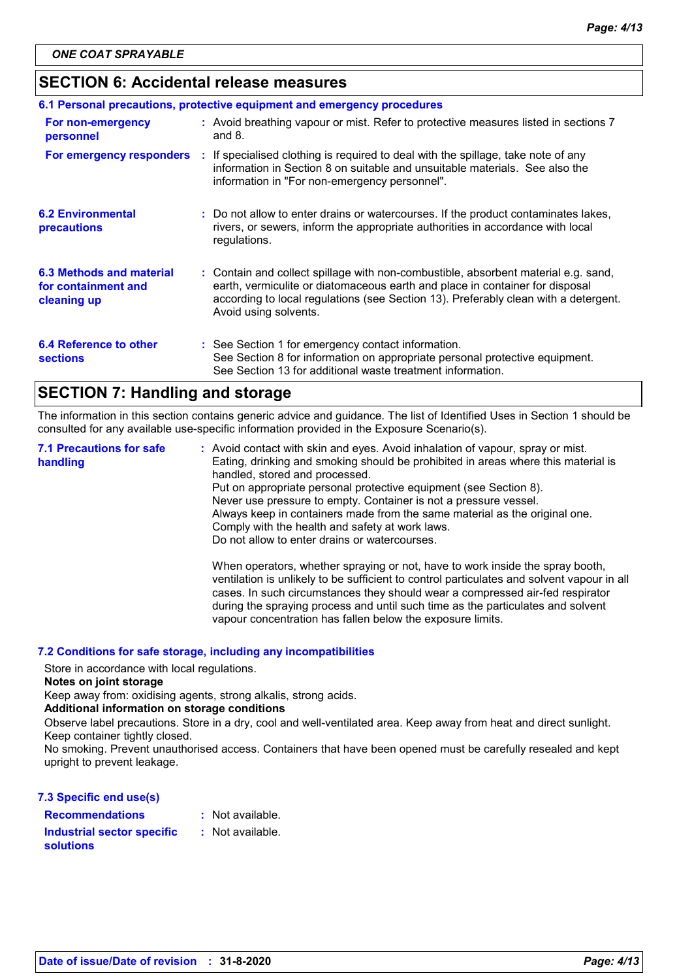### **SECTION 6: Accidental release measures**

| 6.1 Personal precautions, protective equipment and emergency procedures |  |                                                                                                                                                                                                                                                                                    |  |  |
|-------------------------------------------------------------------------|--|------------------------------------------------------------------------------------------------------------------------------------------------------------------------------------------------------------------------------------------------------------------------------------|--|--|
| For non-emergency<br>personnel                                          |  | : Avoid breathing vapour or mist. Refer to protective measures listed in sections 7<br>and $8.$                                                                                                                                                                                    |  |  |
| For emergency responders                                                |  | : If specialised clothing is required to deal with the spillage, take note of any<br>information in Section 8 on suitable and unsuitable materials. See also the<br>information in "For non-emergency personnel".                                                                  |  |  |
| <b>6.2 Environmental</b><br>precautions                                 |  | : Do not allow to enter drains or watercourses. If the product contaminates lakes,<br>rivers, or sewers, inform the appropriate authorities in accordance with local<br>regulations.                                                                                               |  |  |
| 6.3 Methods and material<br>for containment and<br>cleaning up          |  | : Contain and collect spillage with non-combustible, absorbent material e.g. sand,<br>earth, vermiculite or diatomaceous earth and place in container for disposal<br>according to local regulations (see Section 13). Preferably clean with a detergent.<br>Avoid using solvents. |  |  |
| 6.4 Reference to other<br><b>sections</b>                               |  | : See Section 1 for emergency contact information.<br>See Section 8 for information on appropriate personal protective equipment.<br>See Section 13 for additional waste treatment information.                                                                                    |  |  |

# **SECTION 7: Handling and storage**

The information in this section contains generic advice and guidance. The list of Identified Uses in Section 1 should be consulted for any available use-specific information provided in the Exposure Scenario(s).

Avoid contact with skin and eyes. Avoid inhalation of vapour, spray or mist. **:** Eating, drinking and smoking should be prohibited in areas where this material is handled, stored and processed. Put on appropriate personal protective equipment (see Section 8). Never use pressure to empty. Container is not a pressure vessel. Always keep in containers made from the same material as the original one. Comply with the health and safety at work laws. Do not allow to enter drains or watercourses. When operators, whether spraying or not, have to work inside the spray booth, ventilation is unlikely to be sufficient to control particulates and solvent vapour in all cases. In such circumstances they should wear a compressed air-fed respirator **7.1 Precautions for safe handling**

vapour concentration has fallen below the exposure limits.

during the spraying process and until such time as the particulates and solvent

#### **7.2 Conditions for safe storage, including any incompatibilities**

Store in accordance with local regulations.

#### **Notes on joint storage**

Keep away from: oxidising agents, strong alkalis, strong acids.

#### **Additional information on storage conditions**

Observe label precautions. Store in a dry, cool and well-ventilated area. Keep away from heat and direct sunlight. Keep container tightly closed.

No smoking. Prevent unauthorised access. Containers that have been opened must be carefully resealed and kept upright to prevent leakage.

#### **7.3 Specific end use(s)**

| : Not available. |
|------------------|
| : Not available. |
|                  |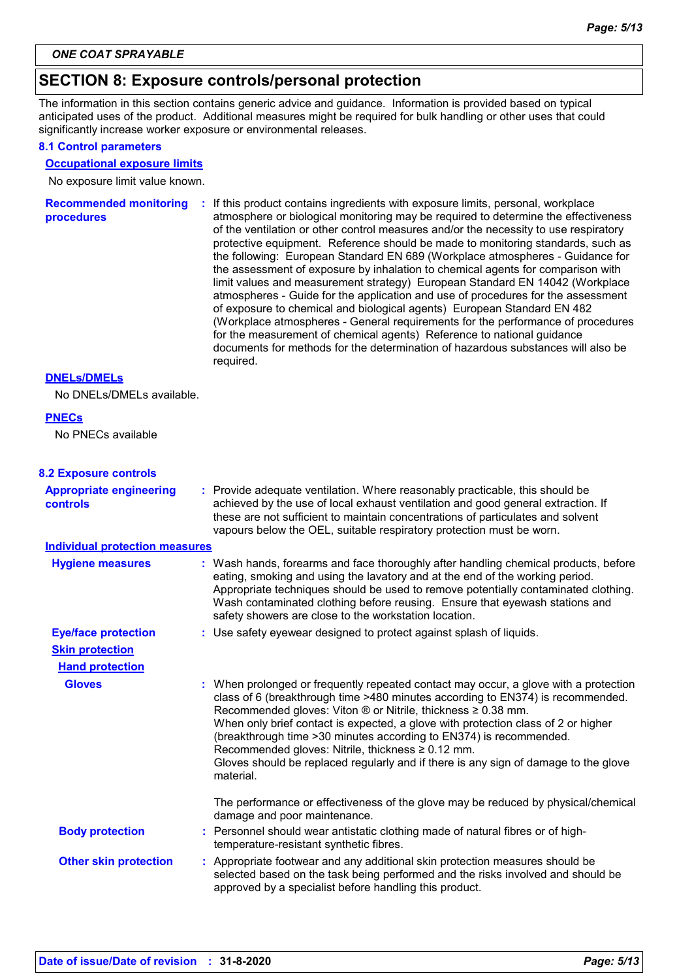# **SECTION 8: Exposure controls/personal protection**

The information in this section contains generic advice and guidance. Information is provided based on typical anticipated uses of the product. Additional measures might be required for bulk handling or other uses that could significantly increase worker exposure or environmental releases.

#### **8.1 Control parameters**

#### **Occupational exposure limits**

No exposure limit value known.

| <b>Recommended monitoring</b><br><b>procedures</b> | If this product contains ingredients with exposure limits, personal, workplace<br>÷.<br>atmosphere or biological monitoring may be required to determine the effectiveness<br>of the ventilation or other control measures and/or the necessity to use respiratory<br>protective equipment. Reference should be made to monitoring standards, such as<br>the following: European Standard EN 689 (Workplace atmospheres - Guidance for<br>the assessment of exposure by inhalation to chemical agents for comparison with<br>limit values and measurement strategy) European Standard EN 14042 (Workplace<br>atmospheres - Guide for the application and use of procedures for the assessment<br>of exposure to chemical and biological agents) European Standard EN 482<br>(Workplace atmospheres - General requirements for the performance of procedures<br>for the measurement of chemical agents) Reference to national guidance<br>documents for methods for the determination of hazardous substances will also be<br>required. |
|----------------------------------------------------|----------------------------------------------------------------------------------------------------------------------------------------------------------------------------------------------------------------------------------------------------------------------------------------------------------------------------------------------------------------------------------------------------------------------------------------------------------------------------------------------------------------------------------------------------------------------------------------------------------------------------------------------------------------------------------------------------------------------------------------------------------------------------------------------------------------------------------------------------------------------------------------------------------------------------------------------------------------------------------------------------------------------------------------|
|----------------------------------------------------|----------------------------------------------------------------------------------------------------------------------------------------------------------------------------------------------------------------------------------------------------------------------------------------------------------------------------------------------------------------------------------------------------------------------------------------------------------------------------------------------------------------------------------------------------------------------------------------------------------------------------------------------------------------------------------------------------------------------------------------------------------------------------------------------------------------------------------------------------------------------------------------------------------------------------------------------------------------------------------------------------------------------------------------|

#### **DNELs/DMELs**

No DNELs/DMELs available.

#### **PNECs**

No PNECs available

#### **8.2 Exposure controls**

| <b>Appropriate engineering</b><br><b>controls</b> | : Provide adequate ventilation. Where reasonably practicable, this should be<br>achieved by the use of local exhaust ventilation and good general extraction. If<br>these are not sufficient to maintain concentrations of particulates and solvent<br>vapours below the OEL, suitable respiratory protection must be worn.                                                                                                                                                                                                                                                     |
|---------------------------------------------------|---------------------------------------------------------------------------------------------------------------------------------------------------------------------------------------------------------------------------------------------------------------------------------------------------------------------------------------------------------------------------------------------------------------------------------------------------------------------------------------------------------------------------------------------------------------------------------|
| <b>Individual protection measures</b>             |                                                                                                                                                                                                                                                                                                                                                                                                                                                                                                                                                                                 |
| <b>Hygiene measures</b>                           | : Wash hands, forearms and face thoroughly after handling chemical products, before<br>eating, smoking and using the lavatory and at the end of the working period.<br>Appropriate techniques should be used to remove potentially contaminated clothing.<br>Wash contaminated clothing before reusing. Ensure that eyewash stations and<br>safety showers are close to the workstation location.                                                                                                                                                                               |
| <b>Eye/face protection</b>                        | : Use safety eyewear designed to protect against splash of liquids.                                                                                                                                                                                                                                                                                                                                                                                                                                                                                                             |
| <b>Skin protection</b>                            |                                                                                                                                                                                                                                                                                                                                                                                                                                                                                                                                                                                 |
| <b>Hand protection</b>                            |                                                                                                                                                                                                                                                                                                                                                                                                                                                                                                                                                                                 |
| <b>Gloves</b>                                     | : When prolonged or frequently repeated contact may occur, a glove with a protection<br>class of 6 (breakthrough time >480 minutes according to EN374) is recommended.<br>Recommended gloves: Viton $\circledR$ or Nitrile, thickness $\geq 0.38$ mm.<br>When only brief contact is expected, a glove with protection class of 2 or higher<br>(breakthrough time > 30 minutes according to EN374) is recommended.<br>Recommended gloves: Nitrile, thickness $\geq 0.12$ mm.<br>Gloves should be replaced regularly and if there is any sign of damage to the glove<br>material. |
|                                                   | The performance or effectiveness of the glove may be reduced by physical/chemical<br>damage and poor maintenance.                                                                                                                                                                                                                                                                                                                                                                                                                                                               |
| <b>Body protection</b>                            | : Personnel should wear antistatic clothing made of natural fibres or of high-<br>temperature-resistant synthetic fibres.                                                                                                                                                                                                                                                                                                                                                                                                                                                       |
| <b>Other skin protection</b>                      | : Appropriate footwear and any additional skin protection measures should be<br>selected based on the task being performed and the risks involved and should be<br>approved by a specialist before handling this product.                                                                                                                                                                                                                                                                                                                                                       |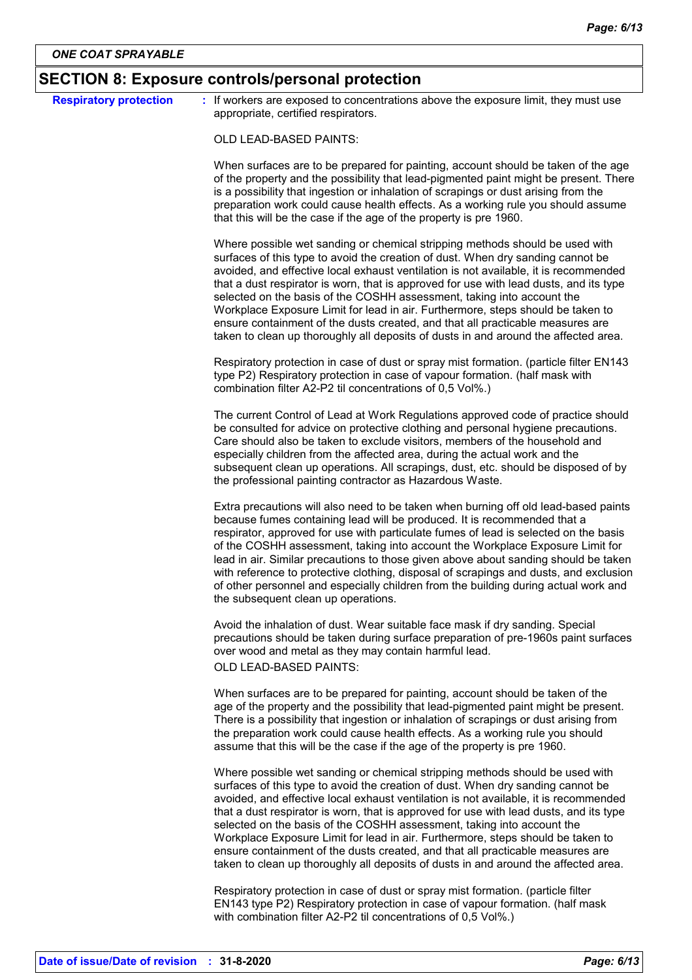| <b>Respiratory protection</b> | : If workers are exposed to concentrations above the exposure limit, they must use                                                                                                                                                                                                                                                                                                                                                                                                                                                                                                                                                                                                      |
|-------------------------------|-----------------------------------------------------------------------------------------------------------------------------------------------------------------------------------------------------------------------------------------------------------------------------------------------------------------------------------------------------------------------------------------------------------------------------------------------------------------------------------------------------------------------------------------------------------------------------------------------------------------------------------------------------------------------------------------|
|                               | appropriate, certified respirators.                                                                                                                                                                                                                                                                                                                                                                                                                                                                                                                                                                                                                                                     |
|                               | OLD LEAD-BASED PAINTS:                                                                                                                                                                                                                                                                                                                                                                                                                                                                                                                                                                                                                                                                  |
|                               | When surfaces are to be prepared for painting, account should be taken of the age<br>of the property and the possibility that lead-pigmented paint might be present. There<br>is a possibility that ingestion or inhalation of scrapings or dust arising from the<br>preparation work could cause health effects. As a working rule you should assume<br>that this will be the case if the age of the property is pre 1960.                                                                                                                                                                                                                                                             |
|                               | Where possible wet sanding or chemical stripping methods should be used with<br>surfaces of this type to avoid the creation of dust. When dry sanding cannot be<br>avoided, and effective local exhaust ventilation is not available, it is recommended<br>that a dust respirator is worn, that is approved for use with lead dusts, and its type<br>selected on the basis of the COSHH assessment, taking into account the<br>Workplace Exposure Limit for lead in air. Furthermore, steps should be taken to<br>ensure containment of the dusts created, and that all practicable measures are<br>taken to clean up thoroughly all deposits of dusts in and around the affected area. |
|                               | Respiratory protection in case of dust or spray mist formation. (particle filter EN143<br>type P2) Respiratory protection in case of vapour formation. (half mask with<br>combination filter A2-P2 til concentrations of 0,5 Vol%.)                                                                                                                                                                                                                                                                                                                                                                                                                                                     |
|                               | The current Control of Lead at Work Regulations approved code of practice should<br>be consulted for advice on protective clothing and personal hygiene precautions.<br>Care should also be taken to exclude visitors, members of the household and<br>especially children from the affected area, during the actual work and the<br>subsequent clean up operations. All scrapings, dust, etc. should be disposed of by<br>the professional painting contractor as Hazardous Waste.                                                                                                                                                                                                     |
|                               | Extra precautions will also need to be taken when burning off old lead-based paints<br>because fumes containing lead will be produced. It is recommended that a<br>respirator, approved for use with particulate fumes of lead is selected on the basis<br>of the COSHH assessment, taking into account the Workplace Exposure Limit for<br>lead in air. Similar precautions to those given above about sanding should be taken<br>with reference to protective clothing, disposal of scrapings and dusts, and exclusion<br>of other personnel and especially children from the building during actual work and<br>the subsequent clean up operations.                                  |
|                               | Avoid the inhalation of dust. Wear suitable face mask if dry sanding. Special<br>precautions should be taken during surface preparation of pre-1960s paint surfaces<br>over wood and metal as they may contain harmful lead.<br>OLD LEAD-BASED PAINTS:                                                                                                                                                                                                                                                                                                                                                                                                                                  |
|                               | When surfaces are to be prepared for painting, account should be taken of the<br>age of the property and the possibility that lead-pigmented paint might be present.<br>There is a possibility that ingestion or inhalation of scrapings or dust arising from<br>the preparation work could cause health effects. As a working rule you should<br>assume that this will be the case if the age of the property is pre 1960.                                                                                                                                                                                                                                                             |
|                               | Where possible wet sanding or chemical stripping methods should be used with<br>surfaces of this type to avoid the creation of dust. When dry sanding cannot be<br>avoided, and effective local exhaust ventilation is not available, it is recommended<br>that a dust respirator is worn, that is approved for use with lead dusts, and its type<br>selected on the basis of the COSHH assessment, taking into account the<br>Workplace Exposure Limit for lead in air. Furthermore, steps should be taken to<br>ensure containment of the dusts created, and that all practicable measures are<br>taken to clean up thoroughly all deposits of dusts in and around the affected area. |
|                               | Respiratory protection in case of dust or spray mist formation. (particle filter<br>EN143 type P2) Respiratory protection in case of vapour formation. (half mask<br>with combination filter A2-P2 til concentrations of 0,5 Vol%.)                                                                                                                                                                                                                                                                                                                                                                                                                                                     |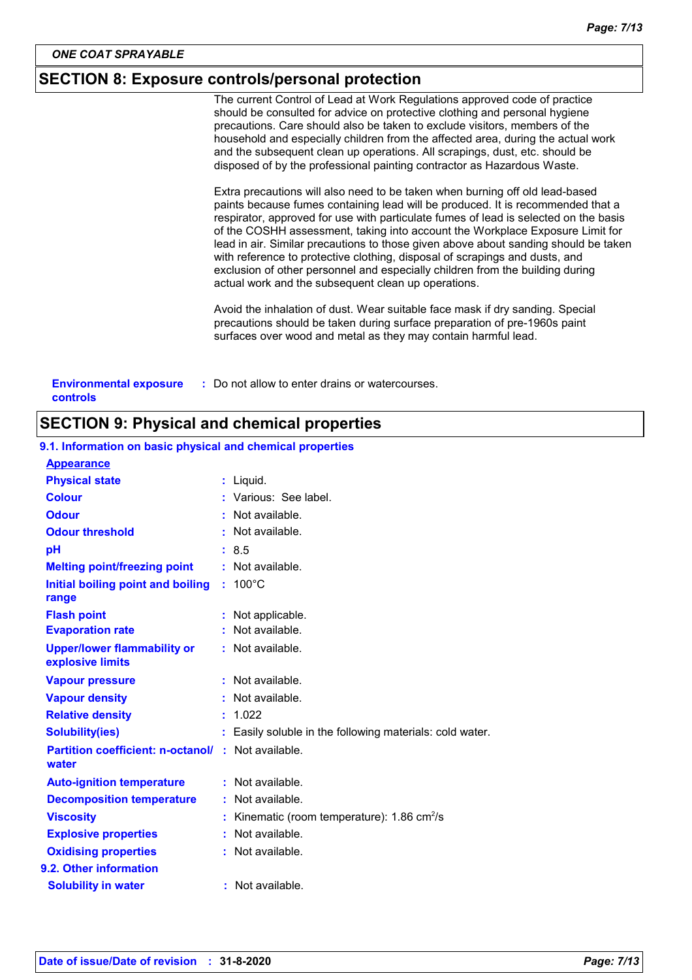### **SECTION 8: Exposure controls/personal protection**

The current Control of Lead at Work Regulations approved code of practice should be consulted for advice on protective clothing and personal hygiene precautions. Care should also be taken to exclude visitors, members of the household and especially children from the affected area, during the actual work and the subsequent clean up operations. All scrapings, dust, etc. should be disposed of by the professional painting contractor as Hazardous Waste.

Extra precautions will also need to be taken when burning off old lead-based paints because fumes containing lead will be produced. It is recommended that a respirator, approved for use with particulate fumes of lead is selected on the basis of the COSHH assessment, taking into account the Workplace Exposure Limit for lead in air. Similar precautions to those given above about sanding should be taken with reference to protective clothing, disposal of scrapings and dusts, and exclusion of other personnel and especially children from the building during actual work and the subsequent clean up operations.

Avoid the inhalation of dust. Wear suitable face mask if dry sanding. Special precautions should be taken during surface preparation of pre-1960s paint surfaces over wood and metal as they may contain harmful lead.

| <b>Environmental exposure</b> | : Do not allow to enter drains or watercourses. |
|-------------------------------|-------------------------------------------------|
| controls                      |                                                 |

#### **SECTION 9: Physical and chemical properties**

| <b>Appearance</b>                                                  |                                                          |
|--------------------------------------------------------------------|----------------------------------------------------------|
| <b>Physical state</b>                                              | : Liquid.                                                |
| <b>Colour</b>                                                      | Various: See label.                                      |
| <b>Odour</b>                                                       | Not available.                                           |
| <b>Odour threshold</b>                                             | $:$ Not available.                                       |
| pH                                                                 | : 8.5                                                    |
| <b>Melting point/freezing point</b>                                | : Not available.                                         |
| Initial boiling point and boiling<br>range                         | $: 100^{\circ}$ C                                        |
| <b>Flash point</b>                                                 | Not applicable.                                          |
| <b>Evaporation rate</b>                                            | : Not available.                                         |
| <b>Upper/lower flammability or</b><br>explosive limits             | : Not available.                                         |
| <b>Vapour pressure</b>                                             | : Not available.                                         |
| <b>Vapour density</b>                                              | : Not available.                                         |
| <b>Relative density</b>                                            | : 1.022                                                  |
| <b>Solubility(ies)</b>                                             | : Easily soluble in the following materials: cold water. |
| <b>Partition coefficient: n-octanol/ : Not available.</b><br>water |                                                          |
| <b>Auto-ignition temperature</b>                                   | : Not available.                                         |
| <b>Decomposition temperature</b>                                   | : Not available.                                         |
| <b>Viscosity</b>                                                   | Kinematic (room temperature): 1.86 cm <sup>2</sup> /s    |
| <b>Explosive properties</b>                                        | : Not available.                                         |
| <b>Oxidising properties</b>                                        | : Not available.                                         |
| 9.2. Other information                                             |                                                          |
| <b>Solubility in water</b>                                         | : Not available.                                         |

# **9.1. Information on basic physical and chemical properties**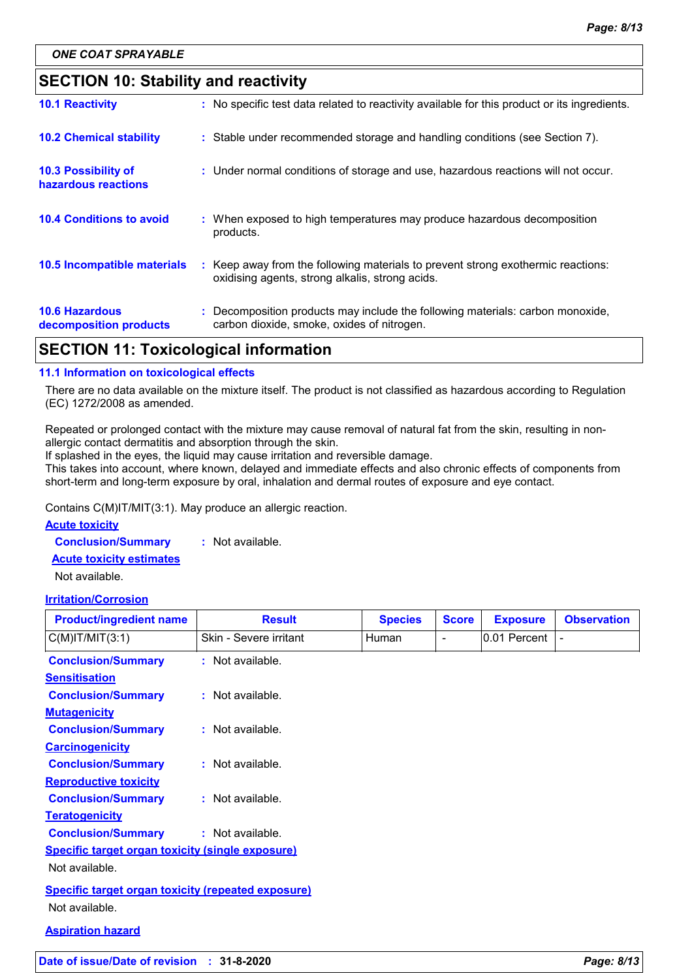# **SECTION 10: Stability and reactivity**

| <b>10.6 Hazardous</b><br>decomposition products | : Decomposition products may include the following materials: carbon monoxide,<br>carbon dioxide, smoke, oxides of nitrogen.        |
|-------------------------------------------------|-------------------------------------------------------------------------------------------------------------------------------------|
| 10.5 Incompatible materials                     | : Keep away from the following materials to prevent strong exothermic reactions:<br>oxidising agents, strong alkalis, strong acids. |
| <b>10.4 Conditions to avoid</b>                 | : When exposed to high temperatures may produce hazardous decomposition<br>products.                                                |
| 10.3 Possibility of<br>hazardous reactions      | : Under normal conditions of storage and use, hazardous reactions will not occur.                                                   |
| <b>10.2 Chemical stability</b>                  | : Stable under recommended storage and handling conditions (see Section 7).                                                         |
| <b>10.1 Reactivity</b>                          | : No specific test data related to reactivity available for this product or its ingredients.                                        |

# **SECTION 11: Toxicological information**

#### **11.1 Information on toxicological effects**

There are no data available on the mixture itself. The product is not classified as hazardous according to Regulation (EC) 1272/2008 as amended.

Repeated or prolonged contact with the mixture may cause removal of natural fat from the skin, resulting in nonallergic contact dermatitis and absorption through the skin.

If splashed in the eyes, the liquid may cause irritation and reversible damage.

This takes into account, where known, delayed and immediate effects and also chronic effects of components from short-term and long-term exposure by oral, inhalation and dermal routes of exposure and eye contact.

Contains C(M)IT/MIT(3:1). May produce an allergic reaction.

#### **Acute toxicity**

**Conclusion/Summary :** Not available.

**Acute toxicity estimates**

Not available.

#### **Irritation/Corrosion**

| <b>Product/ingredient name</b>                            | <b>Result</b>          | <b>Species</b> | <b>Score</b>   | <b>Exposure</b> | <b>Observation</b> |
|-----------------------------------------------------------|------------------------|----------------|----------------|-----------------|--------------------|
| $C(M)$ IT/MIT $(3:1)$                                     | Skin - Severe irritant | Human          | $\blacksquare$ | 0.01 Percent    |                    |
| <b>Conclusion/Summary</b>                                 | : Not available.       |                |                |                 |                    |
| <b>Sensitisation</b>                                      |                        |                |                |                 |                    |
| <b>Conclusion/Summary</b>                                 | : Not available.       |                |                |                 |                    |
| <b>Mutagenicity</b>                                       |                        |                |                |                 |                    |
| <b>Conclusion/Summary</b>                                 | : Not available.       |                |                |                 |                    |
| <b>Carcinogenicity</b>                                    |                        |                |                |                 |                    |
| <b>Conclusion/Summary</b>                                 | : Not available.       |                |                |                 |                    |
| <b>Reproductive toxicity</b>                              |                        |                |                |                 |                    |
| <b>Conclusion/Summary</b>                                 | $:$ Not available.     |                |                |                 |                    |
| <b>Teratogenicity</b>                                     |                        |                |                |                 |                    |
| <b>Conclusion/Summary</b>                                 | $:$ Not available.     |                |                |                 |                    |
| <b>Specific target organ toxicity (single exposure)</b>   |                        |                |                |                 |                    |
| Not available.                                            |                        |                |                |                 |                    |
| <b>Specific target organ toxicity (repeated exposure)</b> |                        |                |                |                 |                    |
| Not available.                                            |                        |                |                |                 |                    |
| <b>Aspiration hazard</b>                                  |                        |                |                |                 |                    |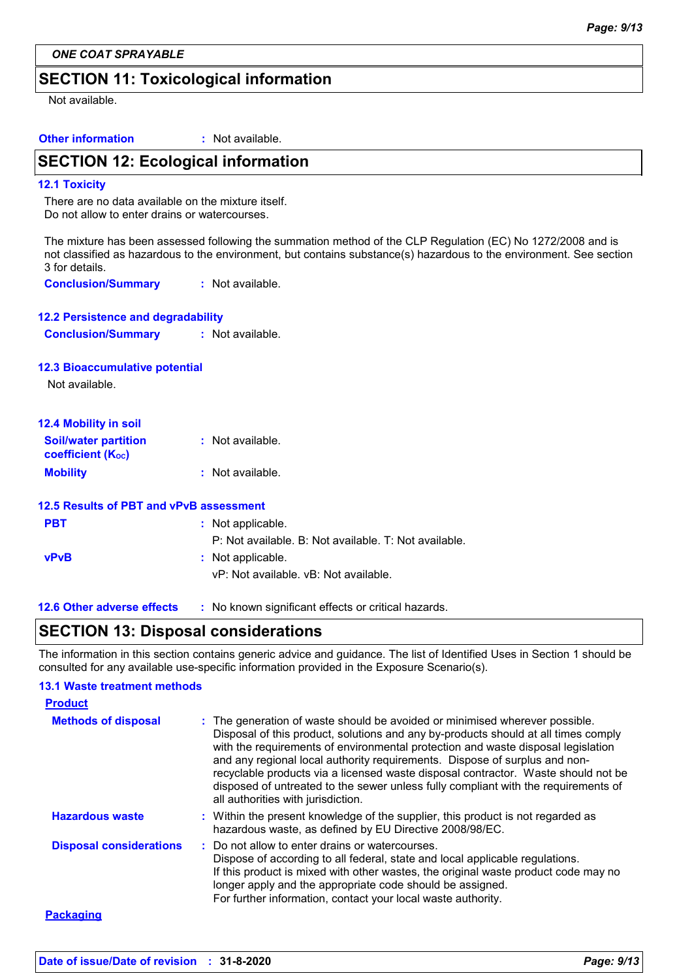*ONE COAT SPRAYABLE*

# **SECTION 11: Toxicological information**

Not available.

| <b>Other information</b> | : Not available. |
|--------------------------|------------------|
|                          |                  |

# **SECTION 12: Ecological information**

#### **12.1 Toxicity**

There are no data available on the mixture itself. Do not allow to enter drains or watercourses.

The mixture has been assessed following the summation method of the CLP Regulation (EC) No 1272/2008 and is not classified as hazardous to the environment, but contains substance(s) hazardous to the environment. See section 3 for details.

**Conclusion/Summary :** Not available.

| <b>12.2 Persistence and degradability</b> |                  |
|-------------------------------------------|------------------|
| <b>Conclusion/Summary</b>                 | : Not available. |

#### **12.3 Bioaccumulative potential**

Not available.

| <b>12.4 Mobility in soil</b>                            |                  |  |  |
|---------------------------------------------------------|------------------|--|--|
| <b>Soil/water partition</b><br><b>coefficient (Koc)</b> | : Not available. |  |  |
| <b>Mobility</b>                                         | : Not available. |  |  |

|             | 12.5 Results of PBT and vPvB assessment               |
|-------------|-------------------------------------------------------|
| <b>PBT</b>  | : Not applicable.                                     |
|             | P: Not available. B: Not available. T: Not available. |
| <b>vPvB</b> | : Not applicable.                                     |
|             | vP: Not available. vB: Not available.                 |
|             |                                                       |

#### **12.6 Other adverse effects** : No known significant effects or critical hazards.

### **SECTION 13: Disposal considerations**

The information in this section contains generic advice and guidance. The list of Identified Uses in Section 1 should be consulted for any available use-specific information provided in the Exposure Scenario(s).

#### **13.1 Waste treatment methods**

| <b>Product</b>                 |                                                                                                                                                                                                                                                                                                                                                                                                                                                                                                                                                      |
|--------------------------------|------------------------------------------------------------------------------------------------------------------------------------------------------------------------------------------------------------------------------------------------------------------------------------------------------------------------------------------------------------------------------------------------------------------------------------------------------------------------------------------------------------------------------------------------------|
| <b>Methods of disposal</b>     | : The generation of waste should be avoided or minimised wherever possible.<br>Disposal of this product, solutions and any by-products should at all times comply<br>with the requirements of environmental protection and waste disposal legislation<br>and any regional local authority requirements. Dispose of surplus and non-<br>recyclable products via a licensed waste disposal contractor. Waste should not be<br>disposed of untreated to the sewer unless fully compliant with the requirements of<br>all authorities with jurisdiction. |
| <b>Hazardous waste</b>         | : Within the present knowledge of the supplier, this product is not regarded as<br>hazardous waste, as defined by EU Directive 2008/98/EC.                                                                                                                                                                                                                                                                                                                                                                                                           |
| <b>Disposal considerations</b> | : Do not allow to enter drains or watercourses.<br>Dispose of according to all federal, state and local applicable regulations.<br>If this product is mixed with other wastes, the original waste product code may no<br>longer apply and the appropriate code should be assigned.<br>For further information, contact your local waste authority.                                                                                                                                                                                                   |
| <b>Packaging</b>               |                                                                                                                                                                                                                                                                                                                                                                                                                                                                                                                                                      |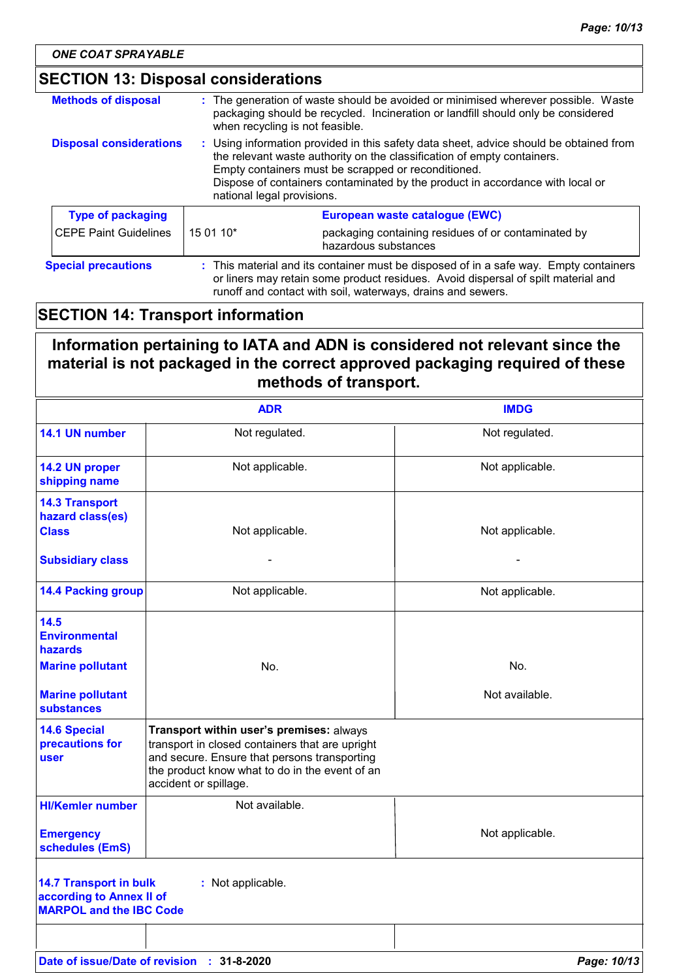| <b>Methods of disposal</b>     |                                                                                                                                                                                                                                                                                                                                         | : The generation of waste should be avoided or minimised wherever possible. Waste<br>packaging should be recycled. Incineration or landfill should only be considered<br>when recycling is not feasible.                                  |
|--------------------------------|-----------------------------------------------------------------------------------------------------------------------------------------------------------------------------------------------------------------------------------------------------------------------------------------------------------------------------------------|-------------------------------------------------------------------------------------------------------------------------------------------------------------------------------------------------------------------------------------------|
| <b>Disposal considerations</b> | : Using information provided in this safety data sheet, advice should be obtained from<br>the relevant waste authority on the classification of empty containers.<br>Empty containers must be scrapped or reconditioned.<br>Dispose of containers contaminated by the product in accordance with local or<br>national legal provisions. |                                                                                                                                                                                                                                           |
| <b>Type of packaging</b>       |                                                                                                                                                                                                                                                                                                                                         | European waste catalogue (EWC)                                                                                                                                                                                                            |
| <b>CEPE Paint Guidelines</b>   | 15 01 10*                                                                                                                                                                                                                                                                                                                               | packaging containing residues of or contaminated by<br>hazardous substances                                                                                                                                                               |
| <b>Special precautions</b>     |                                                                                                                                                                                                                                                                                                                                         | : This material and its container must be disposed of in a safe way. Empty containers<br>or liners may retain some product residues. Avoid dispersal of spilt material and<br>runoff and contact with soil, waterways, drains and sewers. |

# **SECTION 14: Transport information**

# **Information pertaining to IATA and ADN is considered not relevant since the material is not packaged in the correct approved packaging required of these methods of transport.**

|                                                                                             | <b>ADR</b>                                                                                                                                                                                                             | <b>IMDG</b>     |
|---------------------------------------------------------------------------------------------|------------------------------------------------------------------------------------------------------------------------------------------------------------------------------------------------------------------------|-----------------|
| 14.1 UN number                                                                              | Not regulated.                                                                                                                                                                                                         | Not regulated.  |
| 14.2 UN proper<br>shipping name                                                             | Not applicable.                                                                                                                                                                                                        | Not applicable. |
| <b>14.3 Transport</b><br>hazard class(es)<br><b>Class</b>                                   | Not applicable.                                                                                                                                                                                                        | Not applicable. |
| <b>Subsidiary class</b>                                                                     |                                                                                                                                                                                                                        |                 |
| <b>14.4 Packing group</b>                                                                   | Not applicable.                                                                                                                                                                                                        | Not applicable. |
| 14.5<br><b>Environmental</b><br>hazards                                                     |                                                                                                                                                                                                                        |                 |
| <b>Marine pollutant</b>                                                                     | No.                                                                                                                                                                                                                    | No.             |
| <b>Marine pollutant</b><br><b>substances</b>                                                |                                                                                                                                                                                                                        | Not available.  |
| <b>14.6 Special</b><br>precautions for<br><b>user</b>                                       | Transport within user's premises: always<br>transport in closed containers that are upright<br>and secure. Ensure that persons transporting<br>the product know what to do in the event of an<br>accident or spillage. |                 |
| <b>HI/Kemler number</b>                                                                     | Not available.                                                                                                                                                                                                         |                 |
| <b>Emergency</b><br>schedules (EmS)                                                         |                                                                                                                                                                                                                        | Not applicable. |
| <b>14.7 Transport in bulk</b><br>according to Annex II of<br><b>MARPOL and the IBC Code</b> | : Not applicable.                                                                                                                                                                                                      |                 |
|                                                                                             |                                                                                                                                                                                                                        |                 |
|                                                                                             | Date of issue/Date of revision : 31-8-2020                                                                                                                                                                             | Page: 10/13     |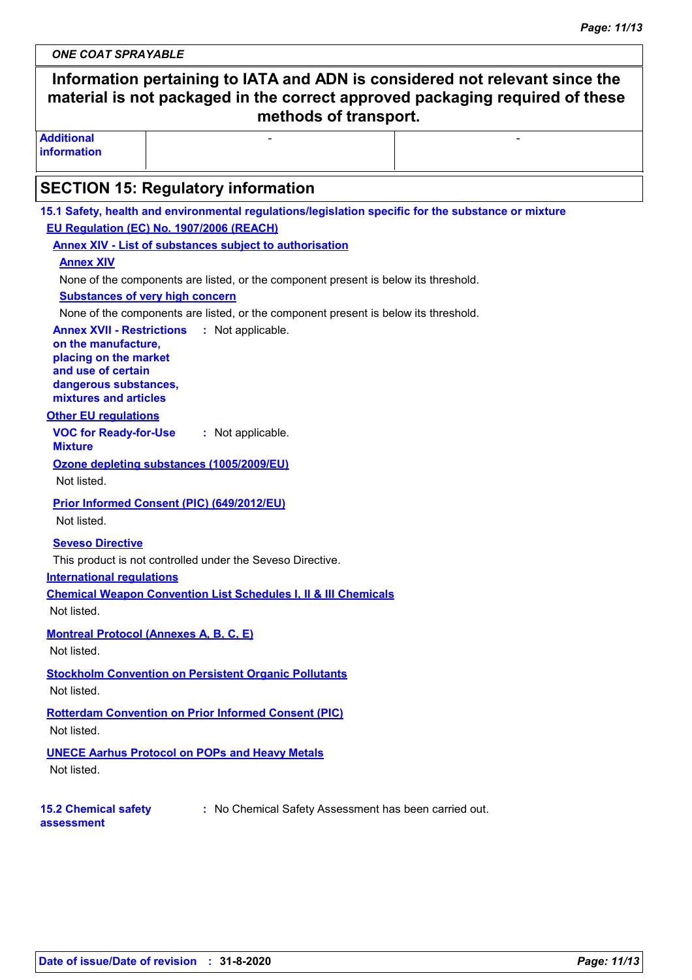*ONE COAT SPRAYABLE*

# **Information pertaining to IATA and ADN is considered not relevant since the material is not packaged in the correct approved packaging required of these methods of transport.**

- Andrea Maria (1989), a construction of the construction of the construction of the construction of the construction of the construction of the construction of the construction of the construction of the construction of t

**Additional information**

# **SECTION 15: Regulatory information**

| 15.1 Safety, health and environmental regulations/legislation specific for the substance or mixture |
|-----------------------------------------------------------------------------------------------------|
| EU Regulation (EC) No. 1907/2006 (REACH)                                                            |
| <b>Annex XIV - List of substances subject to authorisation</b>                                      |
| <b>Annex XIV</b>                                                                                    |
| None of the components are listed, or the component present is below its threshold.                 |
| <b>Substances of very high concern</b>                                                              |
| None of the components are listed, or the component present is below its threshold.                 |
| <b>Annex XVII - Restrictions</b><br>: Not applicable.                                               |
| on the manufacture,<br>placing on the market                                                        |
| and use of certain                                                                                  |
| dangerous substances,                                                                               |
| mixtures and articles                                                                               |
| <b>Other EU regulations</b>                                                                         |
| <b>VOC for Ready-for-Use</b><br>: Not applicable.<br><b>Mixture</b>                                 |
| Ozone depleting substances (1005/2009/EU)                                                           |
| Not listed.                                                                                         |
| <b>Prior Informed Consent (PIC) (649/2012/EU)</b>                                                   |
| Not listed.                                                                                         |
| <b>Seveso Directive</b>                                                                             |
| This product is not controlled under the Seveso Directive.                                          |
| <b>International regulations</b>                                                                    |
| <b>Chemical Weapon Convention List Schedules I, II &amp; III Chemicals</b>                          |
| Not listed.                                                                                         |
| <b>Montreal Protocol (Annexes A, B, C, E)</b>                                                       |
| Not listed.                                                                                         |
|                                                                                                     |
| <b>Stockholm Convention on Persistent Organic Pollutants</b>                                        |
| Not listed.                                                                                         |
| <b>Rotterdam Convention on Prior Informed Consent (PIC)</b>                                         |
| Not listed.                                                                                         |
| <b>UNECE Aarhus Protocol on POPs and Heavy Metals</b>                                               |
| Not listed.                                                                                         |
|                                                                                                     |
| <b>15.2 Chemical safety</b><br>: No Chemical Safety Assessment has been carried out.                |
| assessment                                                                                          |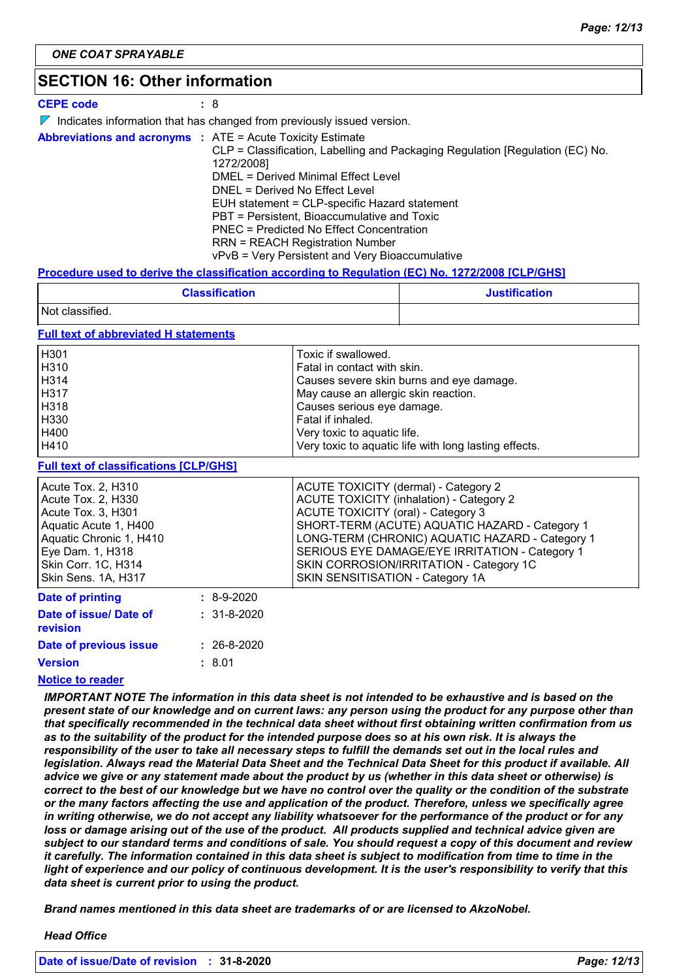# **SECTION 16: Other information**

| <b>CEPE code</b>                                                  | : 8                                                                                                                                                                                                                                                                                                                                                                                                           |
|-------------------------------------------------------------------|---------------------------------------------------------------------------------------------------------------------------------------------------------------------------------------------------------------------------------------------------------------------------------------------------------------------------------------------------------------------------------------------------------------|
|                                                                   | $\nabla$ Indicates information that has changed from previously issued version.                                                                                                                                                                                                                                                                                                                               |
| <b>Abbreviations and acronyms : ATE = Acute Toxicity Estimate</b> | CLP = Classification, Labelling and Packaging Regulation [Regulation (EC) No.<br>1272/2008]<br>DMEL = Derived Minimal Effect Level<br>DNEL = Derived No Effect Level<br>EUH statement = CLP-specific Hazard statement<br>PBT = Persistent, Bioaccumulative and Toxic<br>PNEC = Predicted No Effect Concentration<br><b>RRN = REACH Registration Number</b><br>vPvB = Very Persistent and Very Bioaccumulative |

#### **Procedure used to derive the classification according to Regulation (EC) No. 1272/2008 [CLP/GHS]**

| <b>Classification</b> | <b>Justification</b> |
|-----------------------|----------------------|
| Not classified.       |                      |

#### **Full text of abbreviated H statements**

| H <sub>301</sub> | Toxic if swallowed.                                   |
|------------------|-------------------------------------------------------|
| H310             | Fatal in contact with skin.                           |
| H314             | Causes severe skin burns and eye damage.              |
| H317             | May cause an allergic skin reaction.                  |
| H318             | Causes serious eye damage.                            |
| H330             | Fatal if inhaled.                                     |
| H400             | Very toxic to aquatic life.                           |
| H410             | Very toxic to aquatic life with long lasting effects. |

#### **Full text of classifications [CLP/GHS]**

| <u>. Mil tont of chacompations per form</u> |              |                                                 |
|---------------------------------------------|--------------|-------------------------------------------------|
| Acute Tox. 2, H310                          |              | ACUTE TOXICITY (dermal) - Category 2            |
| Acute Tox. 2, H330                          |              | <b>ACUTE TOXICITY (inhalation) - Category 2</b> |
| Acute Tox. 3, H301                          |              | <b>ACUTE TOXICITY (oral) - Category 3</b>       |
| Aquatic Acute 1, H400                       |              | SHORT-TERM (ACUTE) AQUATIC HAZARD - Category 1  |
| Aquatic Chronic 1, H410                     |              | LONG-TERM (CHRONIC) AQUATIC HAZARD - Category 1 |
| Eye Dam. 1, H318                            |              | SERIOUS EYE DAMAGE/EYE IRRITATION - Category 1  |
| Skin Corr. 1C, H314                         |              | SKIN CORROSION/IRRITATION - Category 1C         |
| Skin Sens. 1A, H317                         |              | SKIN SENSITISATION - Category 1A                |
| Date of printing                            | $: 8-9-2020$ |                                                 |

| Date of issue/ Date of<br>revision | $: 31 - 8 - 2020$ |
|------------------------------------|-------------------|
| Date of previous issue             | $: 26 - 8 - 2020$ |
| <b>Version</b>                     | : 8.01            |

#### **Notice to reader**

*IMPORTANT NOTE The information in this data sheet is not intended to be exhaustive and is based on the present state of our knowledge and on current laws: any person using the product for any purpose other than that specifically recommended in the technical data sheet without first obtaining written confirmation from us as to the suitability of the product for the intended purpose does so at his own risk. It is always the responsibility of the user to take all necessary steps to fulfill the demands set out in the local rules and legislation. Always read the Material Data Sheet and the Technical Data Sheet for this product if available. All advice we give or any statement made about the product by us (whether in this data sheet or otherwise) is correct to the best of our knowledge but we have no control over the quality or the condition of the substrate or the many factors affecting the use and application of the product. Therefore, unless we specifically agree in writing otherwise, we do not accept any liability whatsoever for the performance of the product or for any*  loss or damage arising out of the use of the product. All products supplied and technical advice given are *subject to our standard terms and conditions of sale. You should request a copy of this document and review it carefully. The information contained in this data sheet is subject to modification from time to time in the light of experience and our policy of continuous development. It is the user's responsibility to verify that this data sheet is current prior to using the product.*

*Brand names mentioned in this data sheet are trademarks of or are licensed to AkzoNobel.*

#### *Head Office*